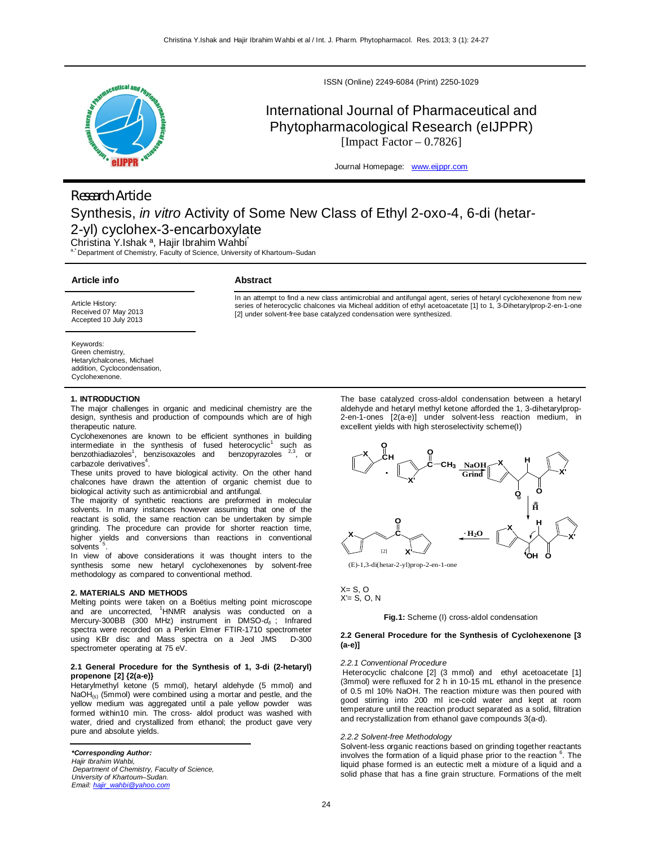

ISSN (Online) 2249-6084 (Print) 2250-1029

# International Journal of Pharmaceutical and Phytopharmacological Research (eIJPPR) [Impact Factor  $-0.7826$ ]

Journal Homepage: www.eijppr.com

# *Research Article* Synthesis, *in vitro* Activity of Some New Class of Ethyl 2-oxo-4, 6-di (hetar-2-yl) cyclohex-3-encarboxylate

Christina Y.Ishak ª, Hajir Ibrahim Wahbi\*

Department of Chemistry, Faculty of Science, University of Khartoum–Sudan

# **Article info**

# **Abstract**

Article History: Received 07 May 2013 Accepted 10 July 2013

In an attempt to find a new class antimicrobial and antifungal agent, series of hetaryl cyclohexenone from new series of heterocyclic chalcones via Micheal addition of ethyl acetoacetate [1] to 1, 3-Dihetarylprop-2-en-1-one [2] under solvent-free base catalyzed condensation were synthesized.

Keywords:

Green chemistry, Hetarylchalcones, Michael addition, Cyclocondensation, Cyclohexenone.

# **1. INTRODUCTION**

The major challenges in organic and medicinal chemistry are the design, synthesis and production of compounds which are of high therapeutic nature.

Cyclohexenones are known to be efficient synthones in building intermediate in the synthesis of fused heterocyclic<sup>1</sup> such as benzothiadiazoles<sup>1</sup>, benzisoxazoles and benzopyrazoles <sup>2,3</sup>, or carbazole derivatives<sup>4</sup>.

These units proved to have biological activity. On the other hand chalcones have drawn the attention of organic chemist due to biological activity such as antimicrobial and antifungal.

The majority of synthetic reactions are preformed in molecular solvents. In many instances however assuming that one of the reactant is solid, the same reaction can be undertaken by simple grinding. The procedure can provide for shorter reaction time, higher yields and conversions than reactions in conventional solvents .

In view of above considerations it was thought inters to the synthesis some new hetaryl cyclohexenones by solvent-free methodology as compared to conventional method.

#### **2. MATERIALS AND METHODS**

Melting points were taken on a Boëtius melting point microscope and are uncorrected, <sup>1</sup>HNMR analysis was conducted on a Mercury-300BB (300 MHz) instrument in DMSO-*d<sup>6</sup>* ; Infrared spectra were recorded on a Perkin Elmer FTIR-1710 spectrometer using KBr disc and Mass spectra on a Jeol JMS D-300 spectrometer operating at 75 eV.

#### **2.1 General Procedure for the Synthesis of 1, 3-di (2-hetaryl) propenone [2] {2(a-e)}**

Hetarylmethyl ketone (5 mmol), hetaryl aldehyde (5 mmol) and NaOH(s) (5mmol) were combined using a mortar and pestle, and the yellow medium was aggregated until a pale yellow powder was formed within10 min. The cross- aldol product was washed with water, dried and crystallized from ethanol; the product gave very pure and absolute yields.

*\*Corresponding Author: Hajir Ibrahim Wahbi, Department of Chemistry, Faculty of Science, University of Khartoum–Sudan. Email: hajir\_wahbi@yahoo.com*

The base catalyzed cross-aldol condensation between a hetaryl aldehyde and hetaryl methyl ketone afforded the 1, 3-dihetarylprop- $2$ -en-1-ones  $[2(a-e)]$  under solvent-less reaction medium, excellent yields with high steroselectivity scheme(I)



(E)-1,3-di(hetar-2-yl)prop-2-en-1-one

#### $X = S$ , O  $X = S$ , O, N

## **Fig.1:** Scheme (I) cross-aldol condensation

#### **2.2 General Procedure for the Synthesis of Cyclohexenone [3 (a-e)]**

#### *2.2.1 Conventional Procedure*

Heterocyclic chalcone [2] (3 mmol) and ethyl acetoacetate [1] (3mmol) were refluxed for 2 h in 10-15 mL ethanol in the presence of 0.5 ml 10% NaOH. The reaction mixture was then poured with good stirring into 200 ml ice-cold water and kept at room temperature until the reaction product separated as a solid, filtration and recrystallization from ethanol gave compounds 3(a-d).

# *2.2.2 Solvent-free Methodology*

Solvent-less organic reactions based on grinding together reactants involves the formation of a liquid phase prior to the reaction <sup>6</sup>. The liquid phase formed is an eutectic melt a mixture of a liquid and a solid phase that has a fine grain structure. Formations of the melt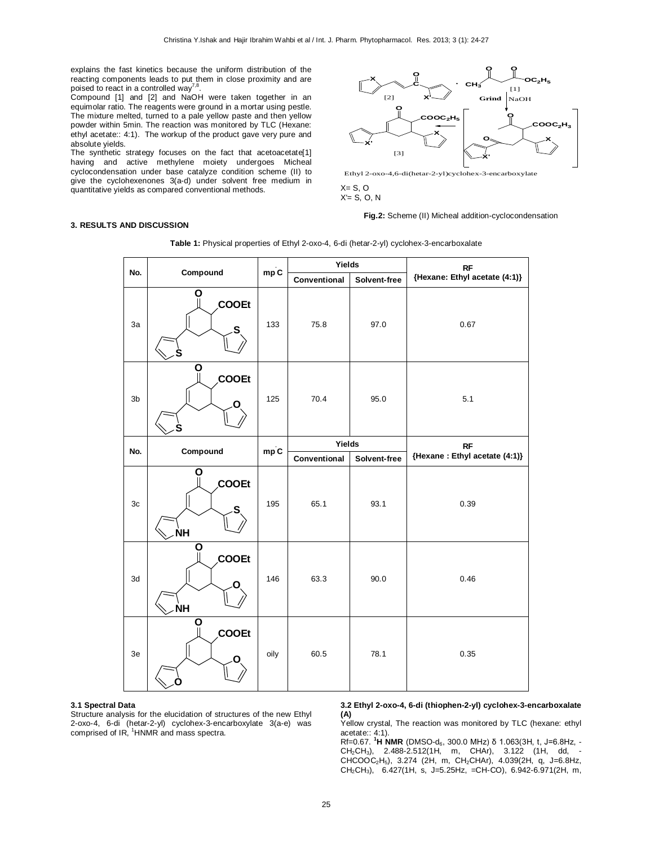explains the fast kinetics because the uniform distribution of the reacting components leads to put them in close proximity and are<br>poised to react in a controlled way<sup>7,8</sup>.

Compound [1] and [2] and NaOH were taken together in an equimolar ratio. The reagents were ground in a mortar using pestle. The mixture melted, turned to a pale yellow paste and then yellow powder within 5min. The reaction was monitored by TLC (Hexane: ethyl acetate:: 4:1). The workup of the product gave very pure and absolute yields.

The synthetic strategy focuses on the fact that acetoacetate[1] having and active methylene moiety undergoes Micheal cyclocondensation under base catalyze condition scheme (II) to give the cyclohexenones 3(a-d) under solvent free medium in quantitative yields as compared conventional methods.



Ethyl 2-oxo-4,6-di(hetar-2-yl)cyclohex-3-encarboxylate

 $X = S, O$  $X'= S, O, N$ 

#### **Fig.2:** Scheme (II) Micheal addition-cyclocondensation

### **3. RESULTS AND DISCUSSION**

|                |                              | mpC  | Yields                                 |              | <b>RF</b>                                   |  |
|----------------|------------------------------|------|----------------------------------------|--------------|---------------------------------------------|--|
| No.            | Compound                     |      | Conventional                           | Solvent-free | {Hexane: Ethyl acetate (4:1)}               |  |
| 3a             | Ο<br><b>COOEt</b><br>S       | 133  | 75.8                                   | 97.0         | 0.67                                        |  |
| 3 <sub>b</sub> | Ο<br>COOEt<br>O              | 125  | 70.4                                   | 95.0         | 5.1                                         |  |
| No.            | Compound                     | mpC  | Yields<br>Conventional<br>Solvent-free |              | <b>RF</b><br>{Hexane : Ethyl acetate (4:1)} |  |
| 3c             | O<br>COOEt<br>S<br><b>NΗ</b> | 195  | 65.1                                   | 93.1         | 0.39                                        |  |
| 3d             | O<br><b>COOEt</b><br>ŃΗ      | 146  | 63.3                                   | 90.0         | 0.46                                        |  |
| 3e             | О<br>COOEt                   | oily | 60.5                                   | 78.1         | 0.35                                        |  |

**Table 1:** Physical properties of Ethyl 2-oxo-4, 6-di (hetar-2-yl) cyclohex-3-encarboxalate

#### **3.1 Spectral Data**

Structure analysis for the elucidation of structures of the new Ethyl 2-oxo-4, 6-di (hetar-2-yl) cyclohex-3-encarboxylate 3(a-e) was comprised of IR, <sup>1</sup>HNMR and mass spectra.

**3.2 Ethyl 2-oxo-4, 6-di (thiophen-2-yl) cyclohex-3-encarboxalate (A)**

Yellow crystal, The reaction was monitored by TLC (hexane: ethyl acetate:: 4:1).

Rf=0.67. **<sup>1</sup>H NMR** (DMSO-d6, 300.0 MHz) δ 1.063(3H, t, J=6.8Hz, - CH<sub>2</sub>CH<sub>3</sub>), 2.488-2.512(1H, m, CHAr), 3.122 (1H, dd, -CHCOOC2H5), 3.274 (2H, m, CH2CHAr), 4.039(2H, q, J=6.8Hz, CH2CH3), 6.427(1H, s, J=5.25Hz, =CH-CO), 6.942-6.971(2H, m,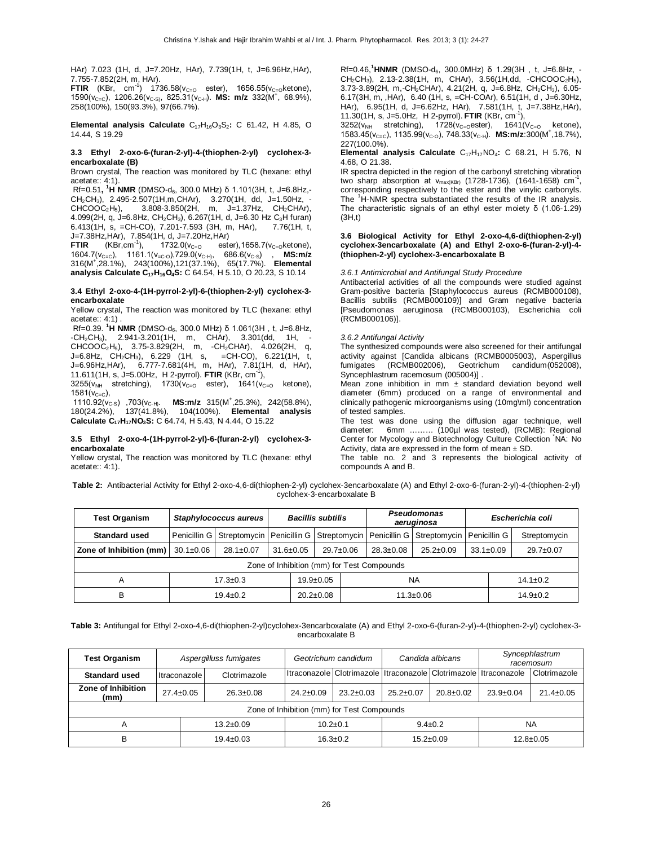HAr) 7.023 (1H, d, J=7.20Hz, HAr), 7.739(1H, t, J=6.96Hz,HAr), 7.755-7.852(2H, m, HAr).

**FTIR** (KBr, cm<sup>-1</sup>) 1736.58( $v_{C=0}$  ester), 1656.55( $v_{C=0}$ ketone), 1590(v<sub>C=C</sub>), 1206.26(v<sub>C-S)</sub>, 825.31(v<sub>C-H</sub>). **MS: m/z** 332(M<sup>+</sup>, 68.9%), 258(100%), 150(93.3%), 97(66.7%).

**Elemental analysis Calculate** C<sub>17</sub>H<sub>16</sub>O<sub>3</sub>S<sub>2</sub>: C 61.42, H 4.85, O 14.44, S 19.29

#### **3.3 Ethyl 2-oxo-6-(furan-2-yl)-4-(thiophen-2-yl) cyclohex-3 encarboxalate (B)**

Brown crystal, The reaction was monitored by TLC (hexane: ethyl acetate:: 4:1).

Rf=0.51**, <sup>1</sup>H NMR** (DMSO-d6, 300.0 MHz) δ 1.101(3H, t, J=6.8Hz,- CH2CH3), 2.495-2.507(1H,m,CHAr), 3.270(1H, dd, J=1.50Hz, -  $CHCOOC<sub>2</sub>H<sub>5</sub>$ , 3.808-3.850(2H, m, J=1.37Hz, CH<sub>2</sub>CHAr), 4.099(2H, q, J=6.8Hz, CH2CH3), 6.267(1H, d, J=6.30 Hz C3H furan) 6.413(1H, s, =CH-CO), 7.201-7.593 (3H, m, HAr), 7.76(1H, t, J=7.38Hz, HAr), 7.854(1H, d, J=7.20Hz, HAr)<br>FTIR (KBr.cm<sup>-1</sup>), 1732.0(y<sub>C-0</sub> este

**(KBr,cm<sup>-1</sup>)**,  $1732.0(v_{C=O}$  ester), 1658.7(v<sub>C=O</sub>ketone),  $1604.7(v_{C=C})$ ,  $1161.1(v_{=C O})$ ,729.0( $v_{C-H}$ ), 686.6( $v_{C-S}$ ), **MS:m/z** 316(M<sup>+</sup> ,28.1%), 243(100%),121(37.1%), 65(17.7%). **Elemental analysis Calculate C17H16O4S:** C 64.54, H 5.10, O 20.23, S 10.14

#### **3.4 Ethyl 2-oxo-4-(1H-pyrrol-2-yl)-6-(thiophen-2-yl) cyclohex-3 encarboxalate**

Yellow crystal, The reaction was monitored by TLC (hexane: ethyl acetate:: 4:1) .

Rf=0.39. **<sup>1</sup>H NMR** (DMSO-d6, 300.0 MHz) δ 1.061(3H , t, J=6.8Hz,  $-CH_2CH_3$ ), 2.941-3.201(1H, m, CHAr), 3.301(dd, 1H, CHCOOC2H5), 3.75-3.829(2H, m, -CH2CHAr), 4.026(2H, q,  $J=6.8$ Hz,  $CH_2CH_3$ ), 6.229 (1H, s, J=6.96Hz,HAr), 6.777-7.681(4H, m, HAr), 7.81(1H, d, HAr), 11.611(1H, s, J=5.00Hz, H 2-pyrrol). **FTIR** (KBr, cm-1 ),  $3255(v_{NH}$  stretching),  $1730(v_{C=O}$  ester),  $1641(v_{C=O}$  ketone),

 $1581(v_{C=C})$ , 1110.92(ν<sub>C-S</sub>), 703(ν<sub>C-H)</sub>.<br>180(24.2%). 137(41.8% **MS:m/z** 315(M<sup>+</sup>,25.3%), 242(58.8%), 180(24.2%), 137(41.8%), 104(100%). **Elemental analysis** 

**Calculate C17H17NO3S:** C 64.74, H 5.43, N 4.44, O 15.22

### **3.5 Ethyl 2-oxo-4-(1H-pyrrol-2-yl)-6-(furan-2-yl) cyclohex-3 encarboxalate**

Yellow crystal, The reaction was monitored by TLC (hexane: ethyl acetate:: 4:1).

Rf=0.46,**<sup>1</sup>HNMR** (DMSO-d6, 300.0MHz) δ 1.29(3H , t, J=6.8Hz, -  $CH_2CH_3$ ), 2.13-2.38(1H, m, CHAr), 3.56(1H,dd, -CHCOOC<sub>2</sub>H<sub>5</sub>), 3.73-3.89(2H, m,-CH<sub>2</sub>CHAr), 4.21(2H, q, J=6.8Hz, CH<sub>2</sub>CH<sub>3</sub>), 6.05-6.17(3H, m, ,HAr), 6.40 (1H, s, =CH-COAr), 6.51(1H, d , J=6.30Hz, HAr), 6.95(1H, d, J=6.62Hz, HAr), 7.581(1H, t, J=7.38Hz,HAr),<br>11.30(1H, s, J=5.0Hz, H 2-pyrrol). **FTIR** (KBr, cm<sup>-1</sup>),

 $3252(v_{NH}$  stretching),  $1728(v_{C=0}$ ester),  $1641(V_{C=0}$  ketone), 1583.45(v<sub>C=C</sub>), 1135.99(v<sub>C-O</sub>), 748.33(v<sub>C-H</sub>). **MS:m/z**:300(M<sup>+</sup>,18.7%), 227(100.0%).

**Elemental analysis Calculate** C<sub>17</sub>H<sub>17</sub>NO<sub>4</sub>: C 68.21, H 5.76, N 4.68, O 21.38.

IR spectra depicted in the region of the carbonyl stretching vibration two sharp absorption at  $v_{\text{max(KBr)}}$  (1728-1736), (1641-1658) cm<sup>-1</sup>, corresponding respectively to the ester and the vinylic carbonyls. The <sup>1</sup>H-NMR spectra substantiated the results of the IR analysis. The characteristic signals of an ethyl ester moiety δ (1.06-1.29) (3H,t)

#### **3.6 Biological Activity for Ethyl 2-oxo-4,6-di(thiophen-2-yl) cyclohex-3encarboxalate (A) and Ethyl 2-oxo-6-(furan-2-yl)-4- (thiophen-2-yl) cyclohex-3-encarboxalate B**

*3.6.1 Antimicrobial and Antifungal Study Procedure* 

Antibacterial activities of all the compounds were studied against Gram-positive bacteria [Staphylococcus aureus (RCMB000108), Bacillis subtilis (RCMB000109)] and Gram negative bacteria [Pseudomonas aeruginosa (RCMB000103), Escherichia coli (RCMB000106)].

#### *3.6.2 Antifungal Activity*

The synthesized compounds were also screened for their antifungal activity against [Candida albicans (RCMB0005003), Aspergillus fumigates (RCMB002006), Geotrichum candidum(052008), Syncephlastrum racemosum (005004)] .

Mean zone inhibition in mm ± standard deviation beyond well diameter (6mm) produced on a range of environmental and clinically pathogenic microorganisms using (10mg\ml) concentration of tested samples.

The test was done using the diffusion agar technique, well diameter: 6mm ……… (100µl was tested), (RCMB): Regional Center for Mycology and Biotechnology Culture Collection \*NA: No Activity, data are expressed in the form of mean  $\pm$  SD.

The table no. 2 and 3 represents the biological activity of compounds A and B.

| Table 2: Antibacterial Activity for Ethyl 2-oxo-4,6-di(thiophen-2-yl) cyclohex-3encarboxalate (A) and Ethyl 2-oxo-6-(furan-2-yl)-4-(thiophen-2-yl) |
|----------------------------------------------------------------------------------------------------------------------------------------------------|
| cvclohex-3-encarboxalate B                                                                                                                         |

| <b>Test Organism</b>                       | Staphylococcus aureus                                     |                                    | <b>Bacillis subtilis</b> |                 |                                          | <b>Pseudomonas</b><br>aeruginosa | Escherichia coli |              |                                    |  |  |
|--------------------------------------------|-----------------------------------------------------------|------------------------------------|--------------------------|-----------------|------------------------------------------|----------------------------------|------------------|--------------|------------------------------------|--|--|
| <b>Standard used</b>                       | Penicillin G   Streptomycin   Penicillin G   Streptomycin |                                    |                          |                 | Penicillin G Streptomycin   Penicillin G |                                  |                  | Streptomycin |                                    |  |  |
| Zone of Inhibition (mm)                    | $30.1 \pm 0.06$                                           | $28.1 \pm 0.07$<br>$31.6 \pm 0.05$ |                          | $29.7 \pm 0.06$ |                                          | $28.3 \pm 0.08$                  | $25.2 \pm 0.09$  |              | $29.7 \pm 0.07$<br>$33.1 \pm 0.09$ |  |  |
| Zone of Inhibition (mm) for Test Compounds |                                                           |                                    |                          |                 |                                          |                                  |                  |              |                                    |  |  |
| А                                          | $17.3 \pm 0.3$                                            |                                    |                          | $19.9 \pm 0.05$ |                                          | <b>NA</b>                        |                  |              | $14.1 \pm 0.2$                     |  |  |
| B                                          | $19.4 \pm 0.2$                                            |                                    |                          | $20.2 \pm 0.08$ |                                          | $11.3 \pm 0.06$                  |                  |              | $14.9 \pm 0.2$                     |  |  |

**Table 3:** Antifungal for Ethyl 2-oxo-4,6-di(thiophen-2-yl)cyclohex-3encarboxalate (A) and Ethyl 2-oxo-6-(furan-2-yl)-4-(thiophen-2-yl) cyclohex-3 encarboxalate B

| Aspergilluss fumigates<br><b>Test Organism</b> |                 |                 | Geotrichum candidum |                                                                  | Candida albicans | Syncephlastrum<br>racemosum |                 |                 |  |  |
|------------------------------------------------|-----------------|-----------------|---------------------|------------------------------------------------------------------|------------------|-----------------------------|-----------------|-----------------|--|--|
| <b>Standard used</b>                           | Itraconazole    | Clotrimazole    |                     | Itraconazole Clotrimazole Itraconazole Clotrimazole Itraconazole |                  |                             |                 | Clotrimazole    |  |  |
| Zone of Inhibition<br>(mm)                     | $27.4 \pm 0.05$ | $26.3 \pm 0.08$ | $24.2 \pm 0.09$     | $23.2 \pm 0.03$                                                  | $25.2 \pm 0.07$  | $20.8 \pm 0.02$             | $23.9 \pm 0.04$ | $21.4 \pm 0.05$ |  |  |
| Zone of Inhibition (mm) for Test Compounds     |                 |                 |                     |                                                                  |                  |                             |                 |                 |  |  |
| Α                                              | $13.2 \pm 0.09$ |                 | $10.2 + 0.1$        |                                                                  | $9.4 \pm 0.2$    |                             | <b>NA</b>       |                 |  |  |
| В                                              |                 | $19.4 \pm 0.03$ |                     | $16.3 \pm 0.2$                                                   |                  | $15.2 \pm 0.09$             |                 | $12.8 \pm 0.05$ |  |  |